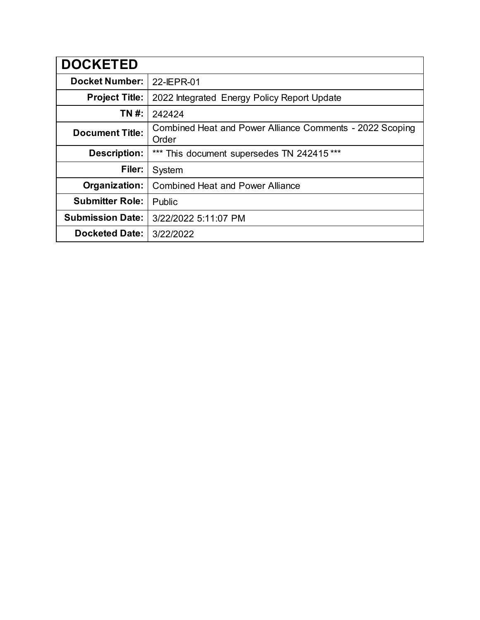| <b>DOCKETED</b>         |                                                                   |  |  |
|-------------------------|-------------------------------------------------------------------|--|--|
| <b>Docket Number:</b>   | 22-IEPR-01                                                        |  |  |
| <b>Project Title:</b>   | 2022 Integrated Energy Policy Report Update                       |  |  |
| TN #:                   | 242424                                                            |  |  |
| <b>Document Title:</b>  | Combined Heat and Power Alliance Comments - 2022 Scoping<br>Order |  |  |
| <b>Description:</b>     | *** This document supersedes TN 242415 ***                        |  |  |
| Filer:                  | System                                                            |  |  |
| Organization:           | <b>Combined Heat and Power Alliance</b>                           |  |  |
| <b>Submitter Role:</b>  | Public                                                            |  |  |
| <b>Submission Date:</b> | 3/22/2022 5:11:07 PM                                              |  |  |
| <b>Docketed Date:</b>   | 3/22/2022                                                         |  |  |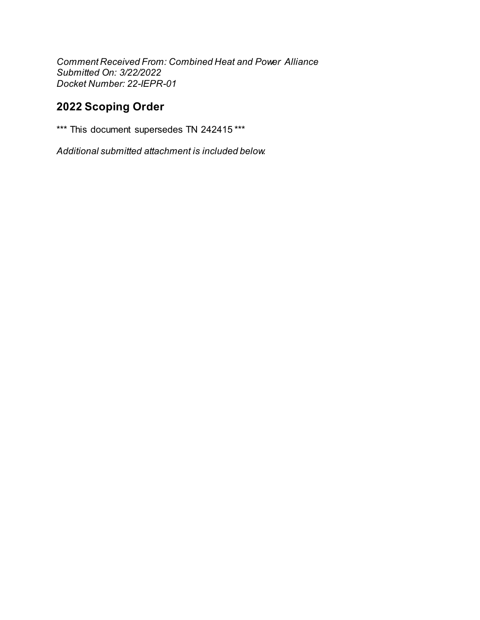Comment Received From: Combined Heat and Power Alliance Submitted On: 3/22/2022 Docket Number: 22-IEPR-01

# 2022 Scoping Order

\*\*\* This document supersedes TN 242415 \*\*\*

Additional submitted attachment is included below.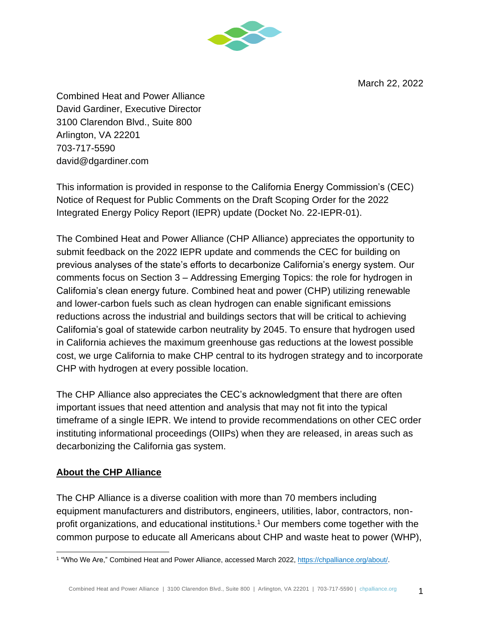March 22, 2022



Combined Heat and Power Alliance David Gardiner, Executive Director 3100 Clarendon Blvd., Suite 800 Arlington, VA 22201 703-717-5590 david@dgardiner.com

This information is provided in response to the California Energy Commission's (CEC) Notice of Request for Public Comments on the Draft Scoping Order for the 2022 Integrated Energy Policy Report (IEPR) update (Docket No. 22-IEPR-01).

The Combined Heat and Power Alliance (CHP Alliance) appreciates the opportunity to submit feedback on the 2022 IEPR update and commends the CEC for building on previous analyses of the state's efforts to decarbonize California's energy system. Our comments focus on Section 3 – Addressing Emerging Topics: the role for hydrogen in California's clean energy future. Combined heat and power (CHP) utilizing renewable and lower-carbon fuels such as clean hydrogen can enable significant emissions reductions across the industrial and buildings sectors that will be critical to achieving California's goal of statewide carbon neutrality by 2045. To ensure that hydrogen used in California achieves the maximum greenhouse gas reductions at the lowest possible cost, we urge California to make CHP central to its hydrogen strategy and to incorporate CHP with hydrogen at every possible location.

The CHP Alliance also appreciates the CEC's acknowledgment that there are often important issues that need attention and analysis that may not fit into the typical timeframe of a single IEPR. We intend to provide recommendations on other CEC order instituting informational proceedings (OIIPs) when they are released, in areas such as decarbonizing the California gas system.

### **About the CHP Alliance**

The CHP Alliance is a diverse coalition with more than 70 members including equipment manufacturers and distributors, engineers, utilities, labor, contractors, nonprofit organizations, and educational institutions.<sup>1</sup> Our members come together with the common purpose to educate all Americans about CHP and waste heat to power (WHP),

<sup>&</sup>lt;sup>1</sup> "Who We Are," Combined Heat and Power Alliance, accessed March 2022, [https://chpalliance.org/about/.](https://chpalliance.org/about/)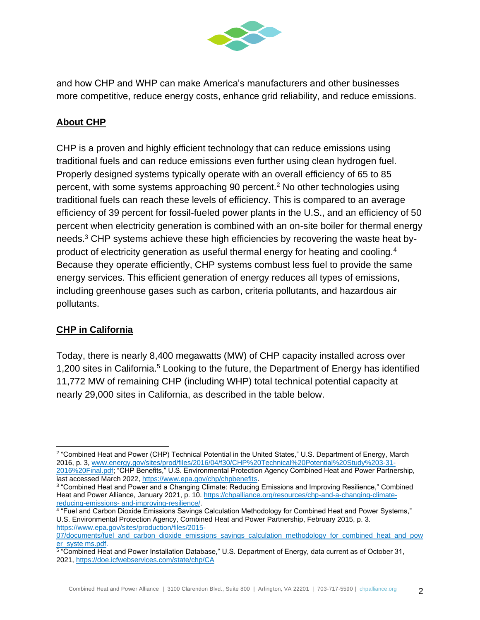

and how CHP and WHP can make America's manufacturers and other businesses more competitive, reduce energy costs, enhance grid reliability, and reduce emissions.

## **About CHP**

CHP is a proven and highly efficient technology that can reduce emissions using traditional fuels and can reduce emissions even further using clean hydrogen fuel. Properly designed systems typically operate with an overall efficiency of 65 to 85 percent, with some systems approaching 90 percent.<sup>2</sup> No other technologies using traditional fuels can reach these levels of efficiency. This is compared to an average efficiency of 39 percent for fossil-fueled power plants in the U.S., and an efficiency of 50 percent when electricity generation is combined with an on-site boiler for thermal energy needs.<sup>3</sup> CHP systems achieve these high efficiencies by recovering the waste heat byproduct of electricity generation as useful thermal energy for heating and cooling.<sup>4</sup> Because they operate efficiently, CHP systems combust less fuel to provide the same energy services. This efficient generation of energy reduces all types of emissions, including greenhouse gases such as carbon, criteria pollutants, and hazardous air pollutants.

### **CHP in California**

Today, there is nearly 8,400 megawatts (MW) of CHP capacity installed across over 1,200 sites in California.<sup>5</sup> Looking to the future, the Department of Energy has identified 11,772 MW of remaining CHP (including WHP) total technical potential capacity at nearly 29,000 sites in California, as described in the table below.

<sup>2</sup> "Combined Heat and Power (CHP) Technical Potential in the United States," U.S. Department of Energy, March 2016, p. 3, [www.energy.gov/sites/prod/files/2016/04/f30/CHP%20Technical%20Potential%20Study%203-31-](http://www.energy.gov/sites/prod/files/2016/04/f30/CHP%20Technical%20Potential%20Study%203-31-2016%20Final.pdf) [2016%20Final.pdf;](http://www.energy.gov/sites/prod/files/2016/04/f30/CHP%20Technical%20Potential%20Study%203-31-2016%20Final.pdf) "CHP Benefits," U.S. Environmental Protection Agency Combined Heat and Power Partnership, last accessed March 2022[, https://www.epa.gov/chp/chpbenefits.](https://www.epa.gov/chp/chpbenefits)

<sup>3</sup> "Combined Heat and Power and a Changing Climate: Reducing Emissions and Improving Resilience," Combined Heat and Power Alliance, January 2021, p. 10. [https://chpalliance.org/resources/chp-and-a-changing-climate](https://chpalliance.org/resources/publications/chp-and-a-changing-climate-reducing-emissions-and-improving-resilience/)reducing-emissions- [and-improving-resilience/.](https://chpalliance.org/resources/publications/chp-and-a-changing-climate-reducing-emissions-and-improving-resilience/)

<sup>4</sup> "Fuel and Carbon Dioxide Emissions Savings Calculation Methodology for Combined Heat and Power Systems," U.S. Environmental Protection Agency, Combined Heat and Power Partnership, February 2015, p. 3. [https://www.epa.gov/sites/production/files/2015-](https://www.epa.gov/sites/default/files/2015-07/documents/fuel_and_carbon_dioxide_emissions_savings_calculation_methodology_for_combined_heat_and_power_systems.pdf)

[<sup>07/</sup>documents/fuel\\_and\\_carbon\\_dioxide\\_emissions\\_savings\\_calculation\\_methodology\\_for\\_combined\\_heat\\_and\\_pow](https://www.epa.gov/sites/default/files/2015-07/documents/fuel_and_carbon_dioxide_emissions_savings_calculation_methodology_for_combined_heat_and_power_systems.pdf) [er\\_syste ms.pdf.](https://www.epa.gov/sites/default/files/2015-07/documents/fuel_and_carbon_dioxide_emissions_savings_calculation_methodology_for_combined_heat_and_power_systems.pdf)

<sup>&</sup>lt;sup>5</sup> "Combined Heat and Power Installation Database," U.S. Department of Energy, data current as of October 31, 2021, <https://doe.icfwebservices.com/state/chp/CA>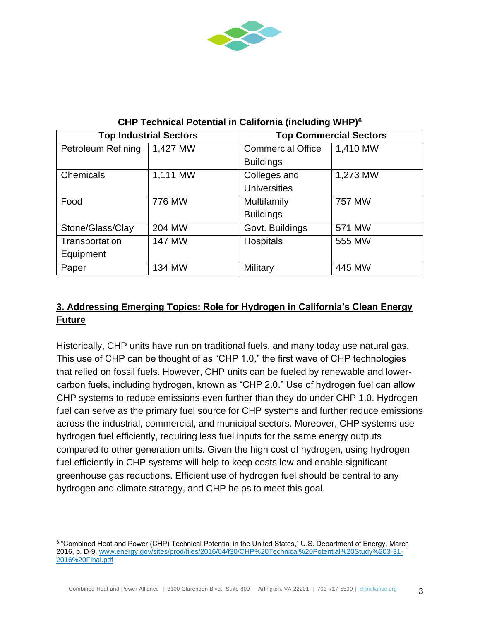

| <b>Top Industrial Sectors</b> |               | <b>Top Commercial Sectors</b> |          |
|-------------------------------|---------------|-------------------------------|----------|
| <b>Petroleum Refining</b>     | 1,427 MW      | <b>Commercial Office</b>      | 1,410 MW |
|                               |               | <b>Buildings</b>              |          |
| Chemicals                     | 1,111 MW      | Colleges and                  | 1,273 MW |
|                               |               | <b>Universities</b>           |          |
| Food                          | 776 MW        | Multifamily                   | 757 MW   |
|                               |               | <b>Buildings</b>              |          |
| Stone/Glass/Clay              | 204 MW        | Govt. Buildings               | 571 MW   |
| Transportation                | <b>147 MW</b> | Hospitals                     | 555 MW   |
| Equipment                     |               |                               |          |
| Paper                         | 134 MW        | Military                      | 445 MW   |

**CHP Technical Potential in California (including WHP)<sup>6</sup>**

## **3. Addressing Emerging Topics: Role for Hydrogen in California's Clean Energy Future**

Historically, CHP units have run on traditional fuels, and many today use natural gas. This use of CHP can be thought of as "CHP 1.0," the first wave of CHP technologies that relied on fossil fuels. However, CHP units can be fueled by renewable and lowercarbon fuels, including hydrogen, known as "CHP 2.0." Use of hydrogen fuel can allow CHP systems to reduce emissions even further than they do under CHP 1.0. Hydrogen fuel can serve as the primary fuel source for CHP systems and further reduce emissions across the industrial, commercial, and municipal sectors. Moreover, CHP systems use hydrogen fuel efficiently, requiring less fuel inputs for the same energy outputs compared to other generation units. Given the high cost of hydrogen, using hydrogen fuel efficiently in CHP systems will help to keep costs low and enable significant greenhouse gas reductions. Efficient use of hydrogen fuel should be central to any hydrogen and climate strategy, and CHP helps to meet this goal.

 $^6$  "Combined Heat and Power (CHP) Technical Potential in the United States," U.S. Department of Energy, March 2016, p. D-9[, www.energy.gov/sites/prod/files/2016/04/f30/CHP%20Technical%20Potential%20Study%203-31-](http://www.energy.gov/sites/prod/files/2016/04/f30/CHP%20Technical%20Potential%20Study%203-31-2016%20Final.pdf) [2016%20Final.pdf](http://www.energy.gov/sites/prod/files/2016/04/f30/CHP%20Technical%20Potential%20Study%203-31-2016%20Final.pdf)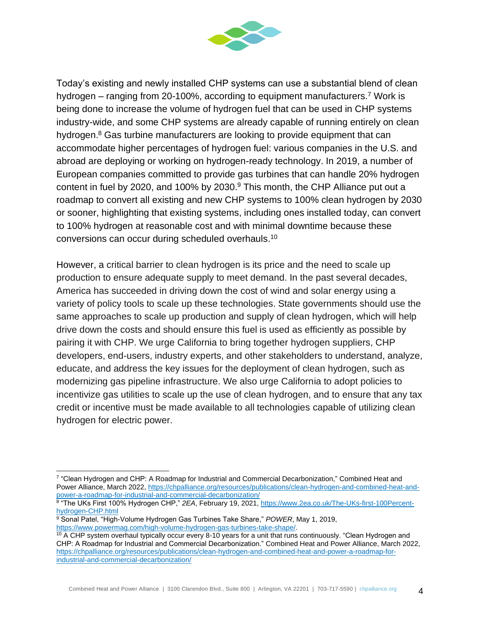

Today's existing and newly installed CHP systems can use a substantial blend of clean hydrogen – ranging from 20-100%, according to equipment manufacturers.<sup>7</sup> Work is being done to increase the volume of hydrogen fuel that can be used in CHP systems industry-wide, and some CHP systems are already capable of running entirely on clean hydrogen.<sup>8</sup> Gas turbine manufacturers are looking to provide equipment that can accommodate higher percentages of hydrogen fuel: various companies in the U.S. and abroad are deploying or working on hydrogen-ready technology. In 2019, a number of European companies committed to provide gas turbines that can handle 20% hydrogen content in fuel by 2020, and 100% by 2030.<sup>9</sup> This month, the CHP Alliance put out a roadmap to convert all existing and new CHP systems to 100% clean hydrogen by 2030 or sooner, highlighting that existing systems, including ones installed today, can convert to 100% hydrogen at reasonable cost and with minimal downtime because these conversions can occur during scheduled overhauls. 10

However, a critical barrier to clean hydrogen is its price and the need to scale up production to ensure adequate supply to meet demand. In the past several decades, America has succeeded in driving down the cost of wind and solar energy using a variety of policy tools to scale up these technologies. State governments should use the same approaches to scale up production and supply of clean hydrogen, which will help drive down the costs and should ensure this fuel is used as efficiently as possible by pairing it with CHP. We urge California to bring together hydrogen suppliers, CHP developers, end-users, industry experts, and other stakeholders to understand, analyze, educate, and address the key issues for the deployment of clean hydrogen, such as modernizing gas pipeline infrastructure. We also urge California to adopt policies to incentivize gas utilities to scale up the use of clean hydrogen, and to ensure that any tax credit or incentive must be made available to all technologies capable of utilizing clean hydrogen for electric power.

<sup>7</sup> "Clean Hydrogen and CHP: A Roadmap for Industrial and Commercial Decarbonization," Combined Heat and Power Alliance, March 2022, [https://chpalliance.org/resources/publications/clean-hydrogen-and-combined-heat-and](https://chpalliance.org/resources/publications/clean-hydrogen-and-combined-heat-and-power-a-roadmap-for-industrial-and-commercial-decarbonization/)[power-a-roadmap-for-industrial-and-commercial-decarbonization/](https://chpalliance.org/resources/publications/clean-hydrogen-and-combined-heat-and-power-a-roadmap-for-industrial-and-commercial-decarbonization/)

<sup>8</sup> "The UKs First 100% Hydrogen CHP," *2EA*, February 19, 2021, [https://www.2ea.co.uk/The-UKs-first-100Percent](https://www.2ea.co.uk/The-UKs-first-100Percent-hydrogen-CHP.html)[hydrogen-CHP.html](https://www.2ea.co.uk/The-UKs-first-100Percent-hydrogen-CHP.html)

<sup>9</sup> Sonal Patel, "High-Volume Hydrogen Gas Turbines Take Share," *POWER*, May 1, 2019, [https://www.powermag.com/high-volume-hydrogen-gas-turbines-take-shape/.](https://www.powermag.com/high-volume-hydrogen-gas-turbines-take-shape/)

 $10$  A CHP system overhaul typically occur every 8-10 years for a unit that runs continuously. "Clean Hydrogen and CHP: A Roadmap for Industrial and Commercial Decarbonization." Combined Heat and Power Alliance, March 2022, [https://chpalliance.org/resources/publications/clean-hydrogen-and-combined-heat-and-power-a-roadmap-for](https://chpalliance.org/resources/publications/clean-hydrogen-and-combined-heat-and-power-a-roadmap-for-industrial-and-commercial-decarbonization/)[industrial-and-commercial-decarbonization/](https://chpalliance.org/resources/publications/clean-hydrogen-and-combined-heat-and-power-a-roadmap-for-industrial-and-commercial-decarbonization/)